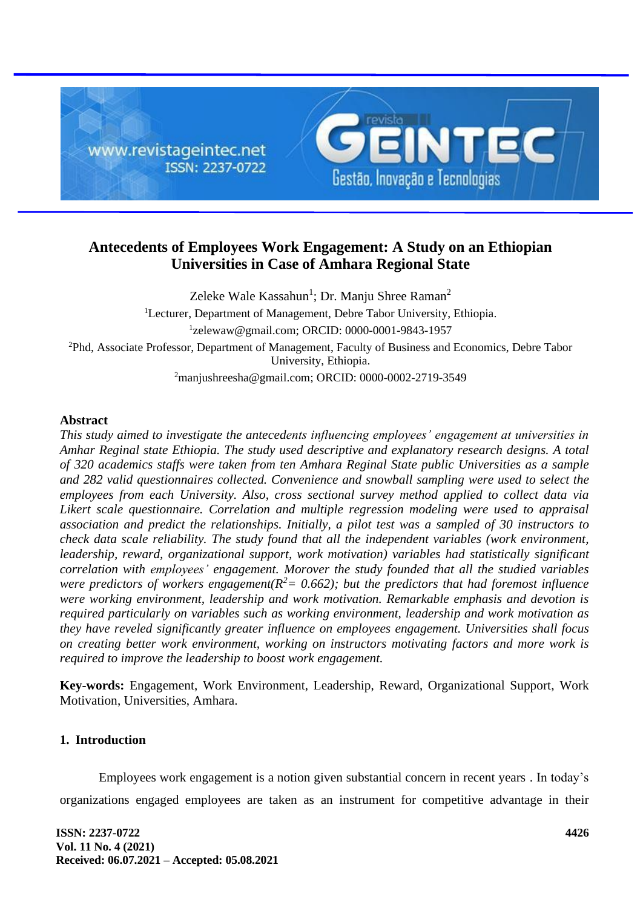

# **Antecedents of Employees Work Engagement: A Study on an Ethiopian Universities in Case of Amhara Regional State**

Zeleke Wale Kassahun<sup>1</sup>; Dr. Manju Shree Raman<sup>2</sup> <sup>1</sup>Lecturer, Department of Management, Debre Tabor University, Ethiopia. 1 zelewaw@gmail.com; ORCID: 0000-0001-9843-1957 <sup>2</sup>Phd, Associate Professor, Department of Management, Faculty of Business and Economics, Debre Tabor University, Ethiopia. <sup>2</sup>manjushreesha@gmail.com; ORCID: 0000-0002-2719-3549

### **Abstract**

*This study aimed to investigate the antecedents influencing employees' engagement at universities in Amhar Reginal state Ethiopia. The study used descriptive and explanatory research designs. A total of 320 academics staffs were taken from ten Amhara Reginal State public Universities as a sample and 282 valid questionnaires collected. Convenience and snowball sampling were used to select the employees from each University. Also, cross sectional survey method applied to collect data via Likert scale questionnaire. Correlation and multiple regression modeling were used to appraisal association and predict the relationships. Initially, a pilot test was a sampled of 30 instructors to check data scale reliability. The study found that all the independent variables (work environment, leadership, reward, organizational support, work motivation) variables had statistically significant correlation with employees' engagement. Morover the study founded that all the studied variables were predictors of workers engagement*( $R^2$  = 0.662); but the predictors that had foremost influence *were working environment, leadership and work motivation. Remarkable emphasis and devotion is required particularly on variables such as working environment, leadership and work motivation as they have reveled significantly greater influence on employees engagement. Universities shall focus on creating better work environment, working on instructors motivating factors and more work is required to improve the leadership to boost work engagement.*

**Key-words:** Engagement, Work Environment, Leadership, Reward, Organizational Support, Work Motivation, Universities, Amhara.

## **1. Introduction**

Employees work engagement is a notion given substantial concern in recent years . In today's organizations engaged employees are taken as an instrument for competitive advantage in their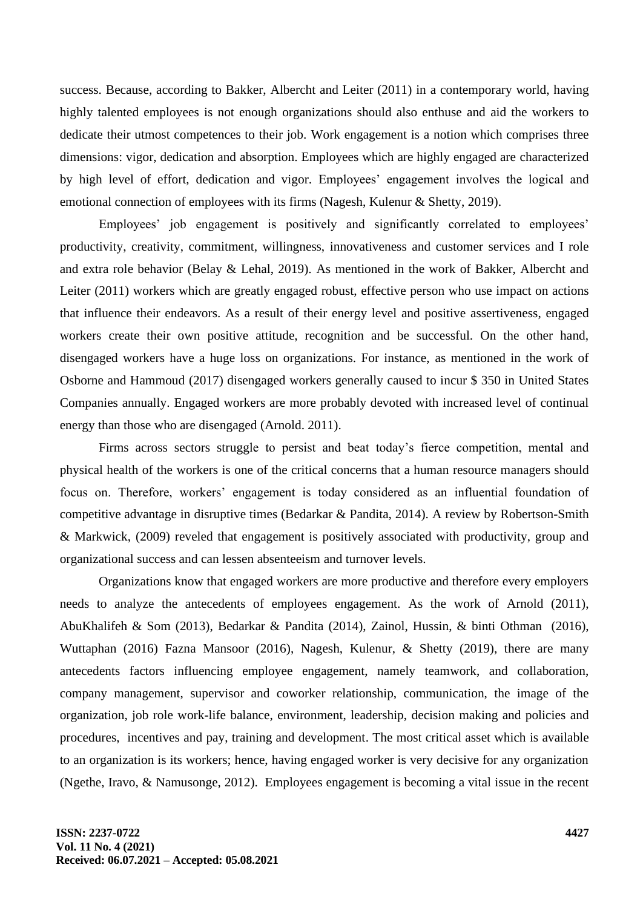success. Because, according to Bakker, Albercht and Leiter (2011) in a contemporary world, having highly talented employees is not enough organizations should also enthuse and aid the workers to dedicate their utmost competences to their job. Work engagement is a notion which comprises three dimensions: vigor, dedication and absorption. Employees which are highly engaged are characterized by high level of effort, dedication and vigor. Employees' engagement involves the logical and emotional connection of employees with its firms (Nagesh, Kulenur & Shetty, 2019).

Employees' job engagement is positively and significantly correlated to employees' productivity, creativity, commitment, willingness, innovativeness and customer services and I role and extra role behavior (Belay & Lehal, 2019). As mentioned in the work of Bakker, Albercht and Leiter (2011) workers which are greatly engaged robust, effective person who use impact on actions that influence their endeavors. As a result of their energy level and positive assertiveness, engaged workers create their own positive attitude, recognition and be successful. On the other hand, disengaged workers have a huge loss on organizations. For instance, as mentioned in the work of Osborne and Hammoud (2017) disengaged workers generally caused to incur \$ 350 in United States Companies annually. Engaged workers are more probably devoted with increased level of continual energy than those who are disengaged (Arnold. 2011).

Firms across sectors struggle to persist and beat today's fierce competition, mental and physical health of the workers is one of the critical concerns that a human resource managers should focus on. Therefore, workers' engagement is today considered as an influential foundation of competitive advantage in disruptive times (Bedarkar & Pandita, 2014). A review by Robertson-Smith & Markwick, (2009) reveled that engagement is positively associated with productivity, group and organizational success and can lessen absenteeism and turnover levels.

Organizations know that engaged workers are more productive and therefore every employers needs to analyze the antecedents of employees engagement. As the work of Arnold (2011), AbuKhalifeh & Som (2013), Bedarkar & Pandita (2014), Zainol, Hussin, & binti Othman (2016), Wuttaphan (2016) Fazna Mansoor (2016), Nagesh, Kulenur, & Shetty (2019), there are many antecedents factors influencing employee engagement, namely teamwork, and collaboration, company management, supervisor and coworker relationship, communication, the image of the organization, job role work-life balance, environment, leadership, decision making and policies and procedures, incentives and pay, training and development. The most critical asset which is available to an organization is its workers; hence, having engaged worker is very decisive for any organization (Ngethe, Iravo, & Namusonge, 2012). Employees engagement is becoming a vital issue in the recent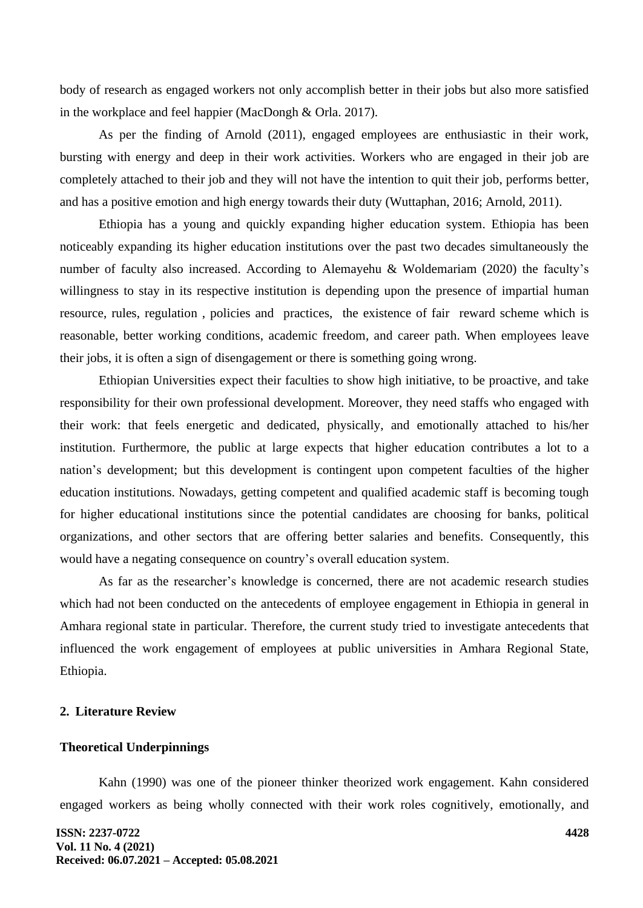body of research as engaged workers not only accomplish better in their jobs but also more satisfied in the workplace and feel happier (MacDongh & Orla. 2017).

As per the finding of Arnold (2011), engaged employees are enthusiastic in their work, bursting with energy and deep in their work activities. Workers who are engaged in their job are completely attached to their job and they will not have the intention to quit their job, performs better, and has a positive emotion and high energy towards their duty (Wuttaphan, 2016; Arnold, 2011).

Ethiopia has a young and quickly expanding higher education system. Ethiopia has been noticeably expanding its higher education institutions over the past two decades simultaneously the number of faculty also increased. According to Alemayehu & Woldemariam (2020) the faculty's willingness to stay in its respective institution is depending upon the presence of impartial human resource, rules, regulation , policies and practices, the existence of fair reward scheme which is reasonable, better working conditions, academic freedom, and career path. When employees leave their jobs, it is often a sign of disengagement or there is something going wrong.

Ethiopian Universities expect their faculties to show high initiative, to be proactive, and take responsibility for their own professional development. Moreover, they need staffs who engaged with their work: that feels energetic and dedicated, physically, and emotionally attached to his/her institution. Furthermore, the public at large expects that higher education contributes a lot to a nation's development; but this development is contingent upon competent faculties of the higher education institutions. Nowadays, getting competent and qualified academic staff is becoming tough for higher educational institutions since the potential candidates are choosing for banks, political organizations, and other sectors that are offering better salaries and benefits. Consequently, this would have a negating consequence on country's overall education system.

As far as the researcher's knowledge is concerned, there are not academic research studies which had not been conducted on the antecedents of employee engagement in Ethiopia in general in Amhara regional state in particular. Therefore, the current study tried to investigate antecedents that influenced the work engagement of employees at public universities in Amhara Regional State, Ethiopia.

### **2. Literature Review**

### **Theoretical Underpinnings**

Kahn (1990) was one of the pioneer thinker theorized work engagement. Kahn considered engaged workers as being wholly connected with their work roles cognitively, emotionally, and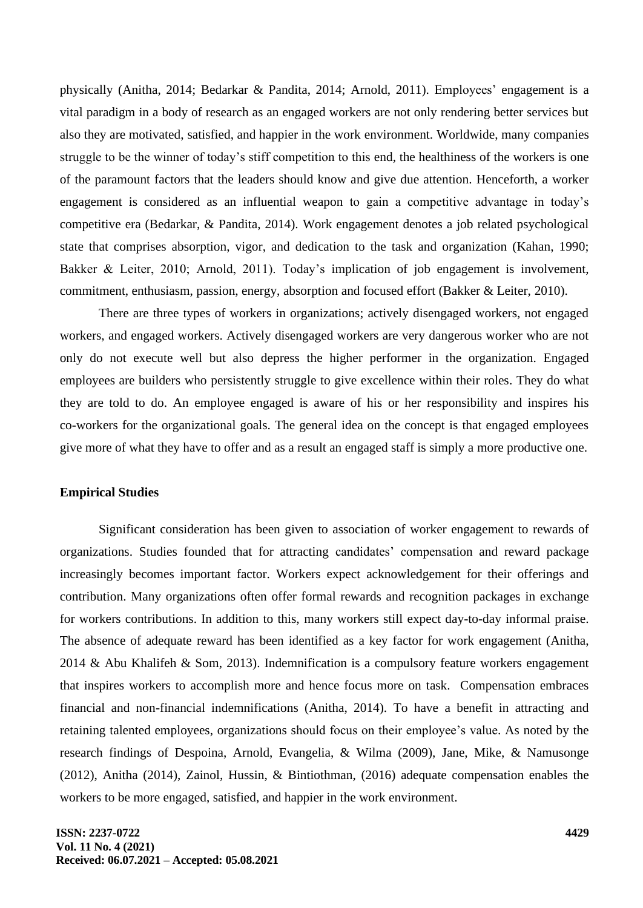physically (Anitha, 2014; Bedarkar & Pandita, 2014; Arnold, 2011). Employees' engagement is a vital paradigm in a body of research as an engaged workers are not only rendering better services but also they are motivated, satisfied, and happier in the work environment. Worldwide, many companies struggle to be the winner of today's stiff competition to this end, the healthiness of the workers is one of the paramount factors that the leaders should know and give due attention. Henceforth, a worker engagement is considered as an influential weapon to gain a competitive advantage in today's competitive era (Bedarkar, & Pandita, 2014). Work engagement denotes a job related psychological state that comprises absorption, vigor, and dedication to the task and organization (Kahan, 1990; Bakker & Leiter, 2010; Arnold, 2011). Today's implication of job engagement is involvement, commitment, enthusiasm, passion, energy, absorption and focused effort (Bakker & Leiter, 2010).

There are three types of workers in organizations; actively disengaged workers, not engaged workers, and engaged workers. Actively disengaged workers are very dangerous worker who are not only do not execute well but also depress the higher performer in the organization. Engaged employees are builders who persistently struggle to give excellence within their roles. They do what they are told to do. An employee engaged is aware of his or her responsibility and inspires his co-workers for the organizational goals. The general idea on the concept is that engaged employees give more of what they have to offer and as a result an engaged staff is simply a more productive one.

# **Empirical Studies**

Significant consideration has been given to association of worker engagement to rewards of organizations. Studies founded that for attracting candidates' compensation and reward package increasingly becomes important factor. Workers expect acknowledgement for their offerings and contribution. Many organizations often offer formal rewards and recognition packages in exchange for workers contributions. In addition to this, many workers still expect day-to-day informal praise. The absence of adequate reward has been identified as a key factor for work engagement (Anitha, 2014 & Abu Khalifeh & Som, 2013). Indemnification is a compulsory feature workers engagement that inspires workers to accomplish more and hence focus more on task. Compensation embraces financial and non-financial indemnifications (Anitha, 2014). To have a benefit in attracting and retaining talented employees, organizations should focus on their employee's value. As noted by the research findings of Despoina, Arnold, Evangelia, & Wilma (2009), Jane, Mike, & Namusonge (2012), Anitha (2014), Zainol, Hussin, & Bintiothman, (2016) adequate compensation enables the workers to be more engaged, satisfied, and happier in the work environment.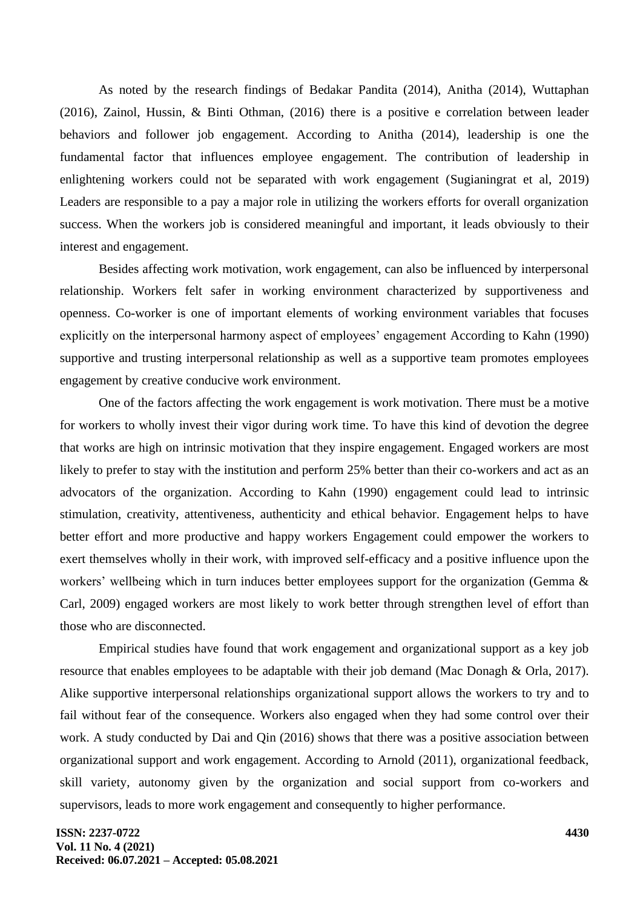As noted by the research findings of Bedakar Pandita (2014), Anitha (2014), Wuttaphan (2016), Zainol, Hussin, & Binti Othman, (2016) there is a positive e correlation between leader behaviors and follower job engagement. According to Anitha (2014), leadership is one the fundamental factor that influences employee engagement. The contribution of leadership in enlightening workers could not be separated with work engagement (Sugianingrat et al, 2019) Leaders are responsible to a pay a major role in utilizing the workers efforts for overall organization success. When the workers job is considered meaningful and important, it leads obviously to their interest and engagement.

Besides affecting work motivation, work engagement, can also be influenced by interpersonal relationship. Workers felt safer in working environment characterized by supportiveness and openness. Co-worker is one of important elements of working environment variables that focuses explicitly on the interpersonal harmony aspect of employees' engagement According to Kahn (1990) supportive and trusting interpersonal relationship as well as a supportive team promotes employees engagement by creative conducive work environment.

One of the factors affecting the work engagement is work motivation. There must be a motive for workers to wholly invest their vigor during work time. To have this kind of devotion the degree that works are high on intrinsic motivation that they inspire engagement. Engaged workers are most likely to prefer to stay with the institution and perform 25% better than their co-workers and act as an advocators of the organization. According to Kahn (1990) engagement could lead to intrinsic stimulation, creativity, attentiveness, authenticity and ethical behavior. Engagement helps to have better effort and more productive and happy workers Engagement could empower the workers to exert themselves wholly in their work, with improved self-efficacy and a positive influence upon the workers' wellbeing which in turn induces better employees support for the organization (Gemma & Carl, 2009) engaged workers are most likely to work better through strengthen level of effort than those who are disconnected.

Empirical studies have found that work engagement and organizational support as a key job resource that enables employees to be adaptable with their job demand (Mac Donagh & Orla, 2017). Alike supportive interpersonal relationships organizational support allows the workers to try and to fail without fear of the consequence. Workers also engaged when they had some control over their work. A study conducted by Dai and Qin (2016) shows that there was a positive association between organizational support and work engagement. According to Arnold (2011), organizational feedback, skill variety, autonomy given by the organization and social support from co-workers and supervisors, leads to more work engagement and consequently to higher performance.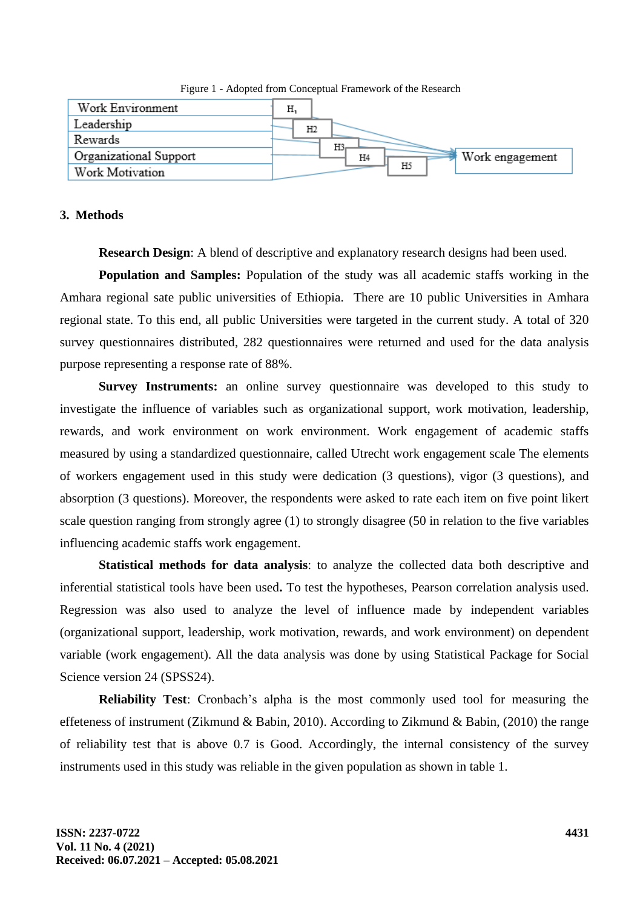Figure 1 - Adopted from Conceptual Framework of the Research



### **3. Methods**

**Research Design**: A blend of descriptive and explanatory research designs had been used.

**Population and Samples:** Population of the study was all academic staffs working in the Amhara regional sate public universities of Ethiopia. There are 10 public Universities in Amhara regional state. To this end, all public Universities were targeted in the current study. A total of 320 survey questionnaires distributed, 282 questionnaires were returned and used for the data analysis purpose representing a response rate of 88%.

**Survey Instruments:** an online survey questionnaire was developed to this study to investigate the influence of variables such as organizational support, work motivation, leadership, rewards, and work environment on work environment. Work engagement of academic staffs measured by using a standardized questionnaire, called Utrecht work engagement scale The elements of workers engagement used in this study were dedication (3 questions), vigor (3 questions), and absorption (3 questions). Moreover, the respondents were asked to rate each item on five point likert scale question ranging from strongly agree (1) to strongly disagree (50 in relation to the five variables influencing academic staffs work engagement.

**Statistical methods for data analysis**: to analyze the collected data both descriptive and inferential statistical tools have been used**.** To test the hypotheses, Pearson correlation analysis used. Regression was also used to analyze the level of influence made by independent variables (organizational support, leadership, work motivation, rewards, and work environment) on dependent variable (work engagement). All the data analysis was done by using Statistical Package for Social Science version 24 (SPSS24).

**Reliability Test**: Cronbach's alpha is the most commonly used tool for measuring the effeteness of instrument (Zikmund & Babin, 2010). According to Zikmund & Babin, (2010) the range of reliability test that is above 0.7 is Good. Accordingly, the internal consistency of the survey instruments used in this study was reliable in the given population as shown in table 1.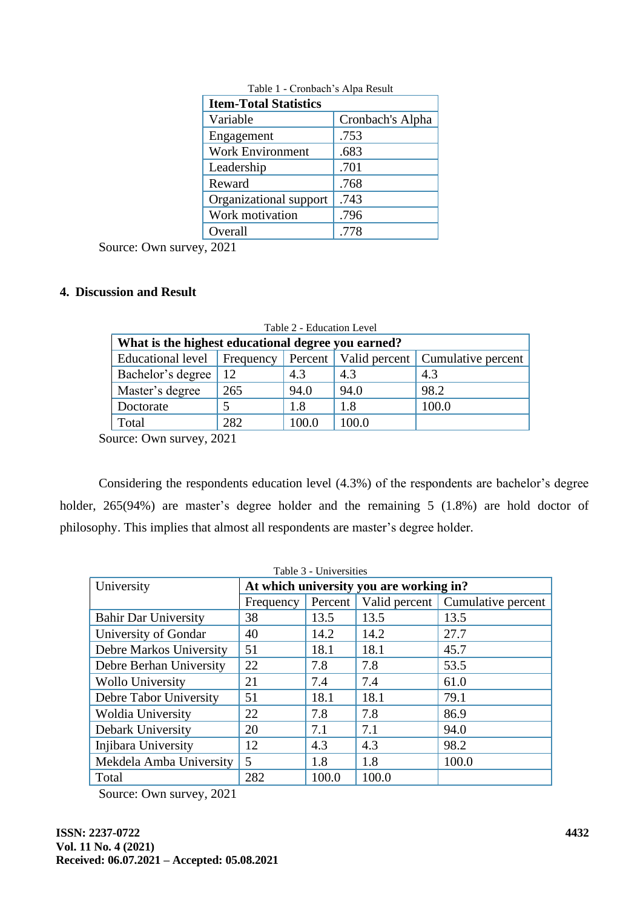| <b>Item-Total Statistics</b> |                  |  |  |  |
|------------------------------|------------------|--|--|--|
| Variable                     | Cronbach's Alpha |  |  |  |
| Engagement                   | .753             |  |  |  |
| <b>Work Environment</b>      | .683             |  |  |  |
| Leadership                   | .701             |  |  |  |
| Reward                       | .768             |  |  |  |
| Organizational support       | .743             |  |  |  |
| Work motivation              | .796             |  |  |  |
| Overall                      | .778             |  |  |  |

Table 1 - Cronbach's Alpa Result

Source: Own survey, 2021

# **4. Discussion and Result**

| Table 2 - Education Level                          |               |       |       |                                              |  |  |  |
|----------------------------------------------------|---------------|-------|-------|----------------------------------------------|--|--|--|
| What is the highest educational degree you earned? |               |       |       |                                              |  |  |  |
| Educational level                                  | Frequency     |       |       | Percent   Valid percent   Cumulative percent |  |  |  |
| Bachelor's degree                                  | <sup>12</sup> | 4.3   | 4.3   | 4.3                                          |  |  |  |
| Master's degree                                    | 265           | 94.0  | 94.0  | 98.2                                         |  |  |  |
| 1.8<br>100.0<br>5<br>1.8<br>Doctorate              |               |       |       |                                              |  |  |  |
| Total                                              | 282           | 100.0 | 100.0 |                                              |  |  |  |

Source: Own survey, 2021

Considering the respondents education level (4.3%) of the respondents are bachelor's degree holder, 265(94%) are master's degree holder and the remaining 5 (1.8%) are hold doctor of philosophy. This implies that almost all respondents are master's degree holder.

| University                  | At which university you are working in?                     |       |       |       |  |  |  |  |
|-----------------------------|-------------------------------------------------------------|-------|-------|-------|--|--|--|--|
|                             | Percent<br>Valid percent<br>Cumulative percent<br>Frequency |       |       |       |  |  |  |  |
| <b>Bahir Dar University</b> | 38                                                          | 13.5  | 13.5  | 13.5  |  |  |  |  |
| University of Gondar        | 40                                                          | 14.2  | 14.2  | 27.7  |  |  |  |  |
| Debre Markos University     | 51                                                          | 18.1  | 18.1  | 45.7  |  |  |  |  |
| Debre Berhan University     | 22                                                          | 7.8   | 7.8   | 53.5  |  |  |  |  |
| <b>Wollo University</b>     | 21                                                          | 7.4   | 7.4   | 61.0  |  |  |  |  |
| Debre Tabor University      | 51                                                          | 18.1  | 18.1  | 79.1  |  |  |  |  |
| <b>Woldia University</b>    | 22                                                          | 7.8   | 7.8   | 86.9  |  |  |  |  |
| Debark University           | 20                                                          | 7.1   | 7.1   | 94.0  |  |  |  |  |
| Injibara University         | 12                                                          | 4.3   | 4.3   | 98.2  |  |  |  |  |
| Mekdela Amba University     | $\overline{\mathcal{L}}$                                    | 1.8   | 1.8   | 100.0 |  |  |  |  |
| Total                       | 282                                                         | 100.0 | 100.0 |       |  |  |  |  |

Source: Own survey, 2021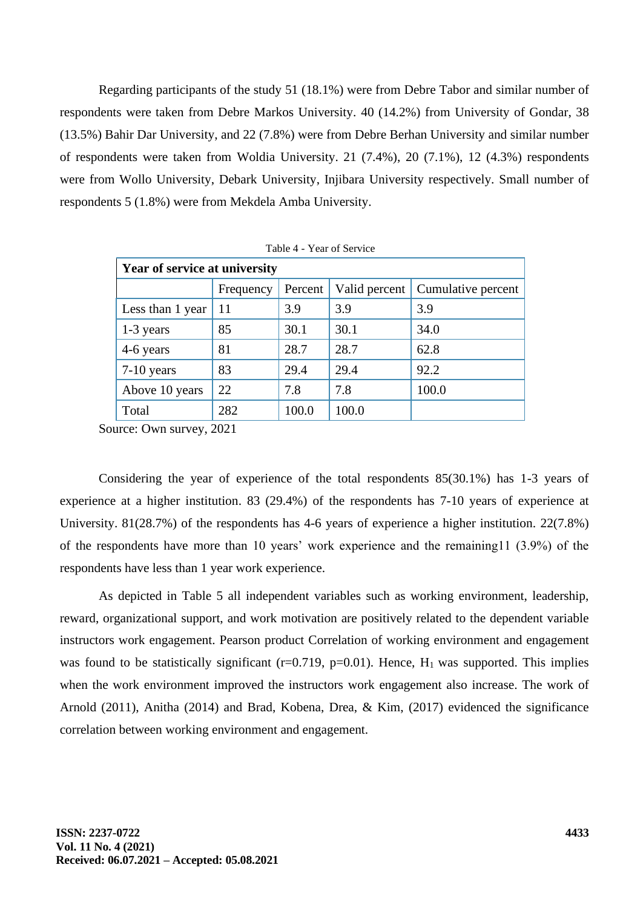Regarding participants of the study 51 (18.1%) were from Debre Tabor and similar number of respondents were taken from Debre Markos University. 40 (14.2%) from University of Gondar, 38 (13.5%) Bahir Dar University, and 22 (7.8%) were from Debre Berhan University and similar number of respondents were taken from Woldia University. 21 (7.4%), 20 (7.1%), 12 (4.3%) respondents were from Wollo University, Debark University, Injibara University respectively. Small number of respondents 5 (1.8%) were from Mekdela Amba University.

| <b>Year of service at university</b> |           |         |               |                    |  |  |  |
|--------------------------------------|-----------|---------|---------------|--------------------|--|--|--|
|                                      | Frequency | Percent | Valid percent | Cumulative percent |  |  |  |
| Less than 1 year                     | 11        | 3.9     | 3.9           | 3.9                |  |  |  |
| 1-3 years                            | 85        | 30.1    | 30.1          | 34.0               |  |  |  |
| 4-6 years                            | 81        | 28.7    | 28.7          | 62.8               |  |  |  |
| $7-10$ years                         | 83        | 29.4    | 29.4          | 92.2               |  |  |  |
| Above 10 years                       | 22        | 7.8     | 7.8           | 100.0              |  |  |  |
| Total                                | 282       | 100.0   | 100.0         |                    |  |  |  |

|  |  | Table 4 - Year of Service |
|--|--|---------------------------|
|--|--|---------------------------|

Source: Own survey, 2021

Considering the year of experience of the total respondents 85(30.1%) has 1-3 years of experience at a higher institution. 83 (29.4%) of the respondents has 7-10 years of experience at University. 81(28.7%) of the respondents has 4-6 years of experience a higher institution. 22(7.8%) of the respondents have more than 10 years' work experience and the remaining11 (3.9%) of the respondents have less than 1 year work experience.

As depicted in Table 5 all independent variables such as working environment, leadership, reward, organizational support, and work motivation are positively related to the dependent variable instructors work engagement. Pearson product Correlation of working environment and engagement was found to be statistically significant ( $r=0.719$ ,  $p=0.01$ ). Hence,  $H_1$  was supported. This implies when the work environment improved the instructors work engagement also increase. The work of Arnold (2011), Anitha (2014) and Brad, Kobena, Drea, & Kim, (2017) evidenced the significance correlation between working environment and engagement.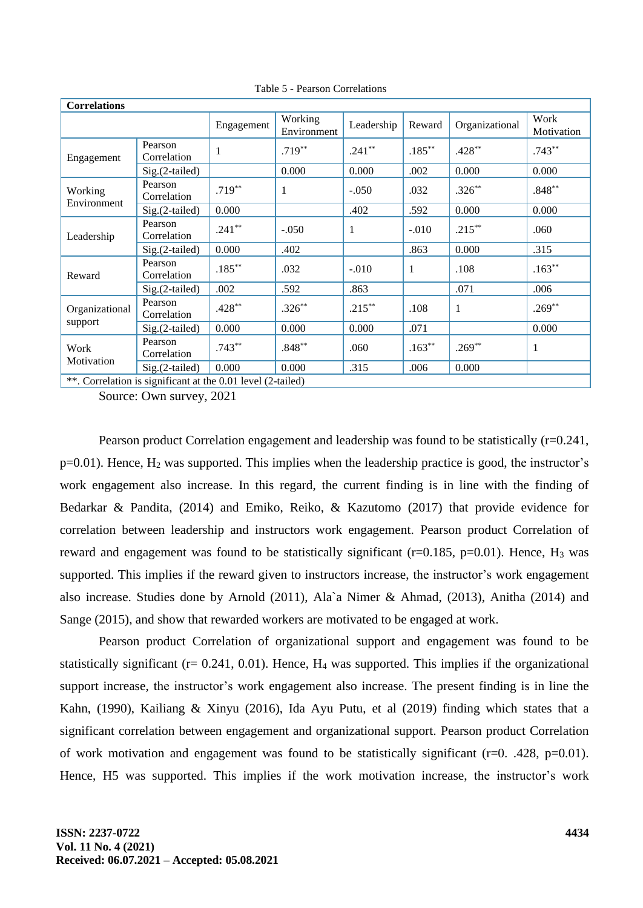| <b>Correlations</b>                                         |                        |            |                        |            |           |                |                    |
|-------------------------------------------------------------|------------------------|------------|------------------------|------------|-----------|----------------|--------------------|
|                                                             |                        | Engagement | Working<br>Environment | Leadership | Reward    | Organizational | Work<br>Motivation |
| Engagement                                                  | Pearson<br>Correlation |            | $.719***$              | $.241**$   | $.185***$ | $.428**$       | $.743**$           |
|                                                             | $Sig.(2-tailed)$       |            | 0.000                  | 0.000      | .002      | 0.000          | 0.000              |
| Working<br>Environment                                      | Pearson<br>Correlation | $.719***$  | 1                      | $-.050$    | .032      | $.326**$       | $.848**$           |
|                                                             | Sig.(2-tailed)         | 0.000      |                        | .402       | .592      | 0.000          | 0.000              |
| Leadership                                                  | Pearson<br>Correlation | $.241**$   | $-.050$                | 1          | $-.010$   | $.215***$      | .060               |
|                                                             | $Sig.(2-tailed)$       | 0.000      | .402                   |            | .863      | 0.000          | .315               |
| Reward                                                      | Pearson<br>Correlation | $.185***$  | .032                   | $-.010$    | 1         | .108           | $.163***$          |
|                                                             | $Sig.(2-tailed)$       | .002       | .592                   | .863       |           | .071           | .006               |
| Organizational                                              | Pearson<br>Correlation | $.428**$   | $.326**$               | $.215***$  | .108      | $\mathbf{1}$   | $.269**$           |
| support                                                     | $Sig.(2-tailed)$       | 0.000      | 0.000                  | 0.000      | .071      |                | 0.000              |
| Work<br>Motivation                                          | Pearson<br>Correlation | $.743**$   | $.848**$               | .060       | $.163**$  | $.269**$       | 1                  |
|                                                             | $Sig.(2-tailed)$       | 0.000      | 0.000                  | .315       | .006      | 0.000          |                    |
| **. Correlation is significant at the 0.01 level (2-tailed) |                        |            |                        |            |           |                |                    |

Table 5 - Pearson Correlations

Source: Own survey, 2021

Pearson product Correlation engagement and leadership was found to be statistically (r=0.241,  $p=0.01$ ). Hence,  $H_2$  was supported. This implies when the leadership practice is good, the instructor's work engagement also increase. In this regard, the current finding is in line with the finding of Bedarkar & Pandita, (2014) and Emiko, Reiko, & Kazutomo (2017) that provide evidence for correlation between leadership and instructors work engagement. Pearson product Correlation of reward and engagement was found to be statistically significant ( $r=0.185$ ,  $p=0.01$ ). Hence, H<sub>3</sub> was supported. This implies if the reward given to instructors increase, the instructor's work engagement also increase. Studies done by Arnold (2011), Ala`a Nimer & Ahmad, (2013), Anitha (2014) and Sange (2015), and show that rewarded workers are motivated to be engaged at work.

Pearson product Correlation of organizational support and engagement was found to be statistically significant ( $r= 0.241, 0.01$ ). Hence,  $H_4$  was supported. This implies if the organizational support increase, the instructor's work engagement also increase. The present finding is in line the Kahn, (1990), Kailiang & Xinyu (2016), Ida Ayu Putu, et al (2019) finding which states that a significant correlation between engagement and organizational support. Pearson product Correlation of work motivation and engagement was found to be statistically significant (r=0. .428, p=0.01). Hence, H5 was supported. This implies if the work motivation increase, the instructor's work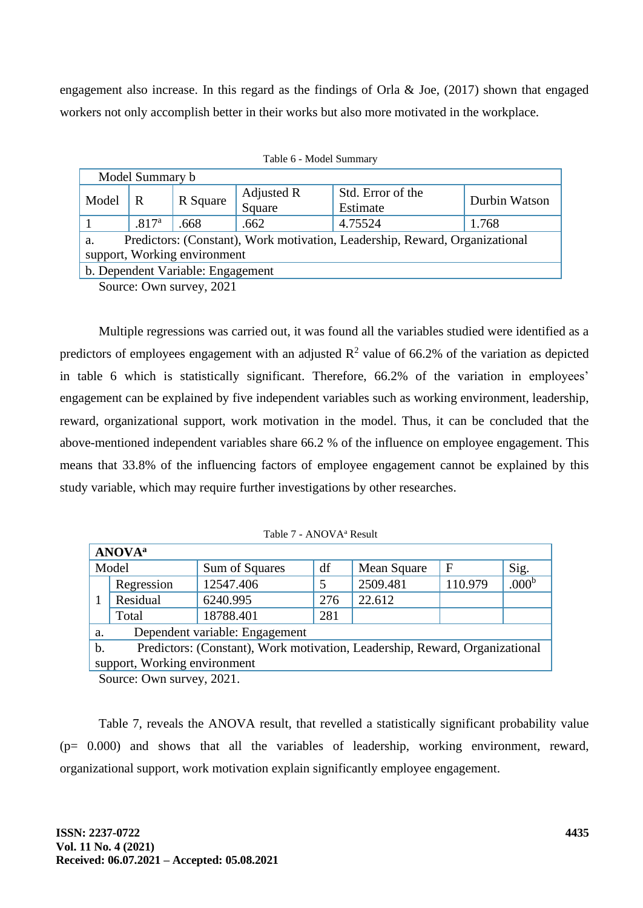engagement also increase. In this regard as the findings of Orla & Joe, (2017) shown that engaged workers not only accomplish better in their works but also more motivated in the workplace.

|                                                                                                                   | Model Summary b                                       |          |                      |                               |               |  |  |  |  |
|-------------------------------------------------------------------------------------------------------------------|-------------------------------------------------------|----------|----------------------|-------------------------------|---------------|--|--|--|--|
| Model                                                                                                             | R                                                     | R Square | Adjusted R<br>Square | Std. Error of the<br>Estimate | Durbin Watson |  |  |  |  |
|                                                                                                                   | 4.75524<br>.817 <sup>a</sup><br>.662<br>.668<br>1.768 |          |                      |                               |               |  |  |  |  |
| Predictors: (Constant), Work motivation, Leadership, Reward, Organizational<br>a.<br>support, Working environment |                                                       |          |                      |                               |               |  |  |  |  |
| b. Dependent Variable: Engagement                                                                                 |                                                       |          |                      |                               |               |  |  |  |  |

|  |  | Table 6 - Model Summary |
|--|--|-------------------------|
|--|--|-------------------------|

Source: Own survey, 2021

Multiple regressions was carried out, it was found all the variables studied were identified as a predictors of employees engagement with an adjusted  $\mathbb{R}^2$  value of 66.2% of the variation as depicted in table 6 which is statistically significant. Therefore, 66.2% of the variation in employees' engagement can be explained by five independent variables such as working environment, leadership, reward, organizational support, work motivation in the model. Thus, it can be concluded that the above-mentioned independent variables share 66.2 % of the influence on employee engagement. This means that 33.8% of the influencing factors of employee engagement cannot be explained by this study variable, which may require further investigations by other researches.

| <b>ANOVA</b> <sup>a</sup>                                                                    |                              |                                |     |             |             |                   |  |  |
|----------------------------------------------------------------------------------------------|------------------------------|--------------------------------|-----|-------------|-------------|-------------------|--|--|
|                                                                                              | Model                        | Sum of Squares                 | df  | Mean Square | $\mathbf F$ | Sig.              |  |  |
|                                                                                              | Regression                   | 12547.406                      |     | 2509.481    | 110.979     | .000 <sup>b</sup> |  |  |
|                                                                                              | Residual                     | 6240.995                       | 276 | 22.612      |             |                   |  |  |
|                                                                                              | Total                        | 18788.401                      | 281 |             |             |                   |  |  |
| a.                                                                                           |                              | Dependent variable: Engagement |     |             |             |                   |  |  |
| Predictors: (Constant), Work motivation, Leadership, Reward, Organizational<br>$\mathbf b$ . |                              |                                |     |             |             |                   |  |  |
|                                                                                              | support, Working environment |                                |     |             |             |                   |  |  |

Table 7 - ANOVA<sup>a</sup> Result

Source: Own survey, 2021.

Table 7, reveals the ANOVA result, that revelled a statistically significant probability value (p= 0.000) and shows that all the variables of leadership, working environment, reward, organizational support, work motivation explain significantly employee engagement.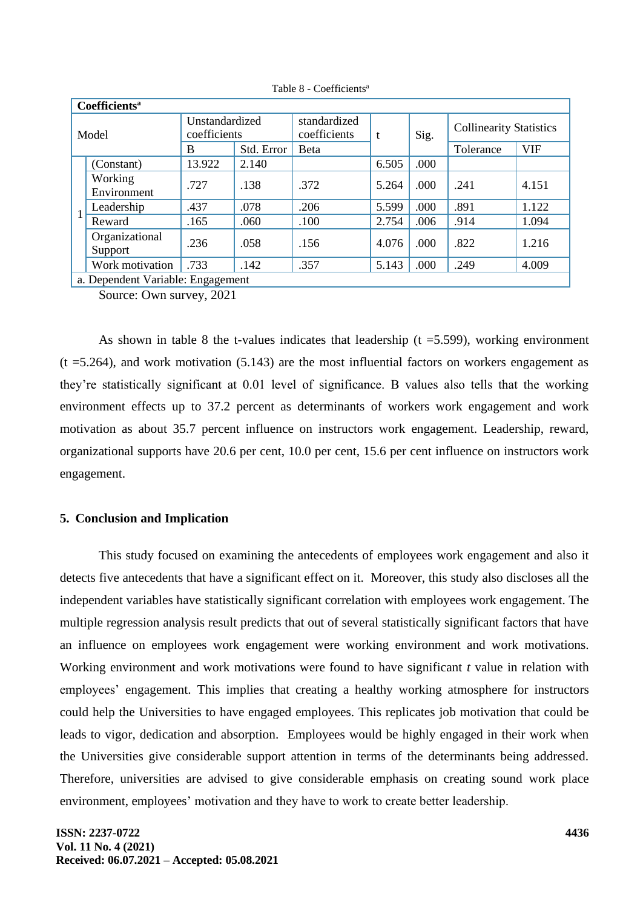|       | Coefficients <sup>a</sup>         |                                |            |                              |       |      |                                |            |  |
|-------|-----------------------------------|--------------------------------|------------|------------------------------|-------|------|--------------------------------|------------|--|
| Model |                                   | Unstandardized<br>coefficients |            | standardized<br>coefficients | t     | Sig. | <b>Collinearity Statistics</b> |            |  |
|       |                                   | B                              | Std. Error | <b>B</b> eta                 |       |      | Tolerance                      | <b>VIF</b> |  |
|       | (Constant)                        | 13.922                         | 2.140      |                              | 6.505 | .000 |                                |            |  |
|       | Working<br>Environment            | .727                           | .138       | .372                         | 5.264 | .000 | .241                           | 4.151      |  |
|       | Leadership                        | .437                           | .078       | .206                         | 5.599 | .000 | .891                           | 1.122      |  |
|       | Reward                            | .165                           | .060       | .100                         | 2.754 | .006 | .914                           | 1.094      |  |
|       | Organizational<br>Support         | .236                           | .058       | .156                         | 4.076 | .000 | .822                           | 1.216      |  |
|       | Work motivation                   | .733                           | .142       | .357                         | 5.143 | .000 | .249                           | 4.009      |  |
|       | a. Dependent Variable: Engagement |                                |            |                              |       |      |                                |            |  |

Table 8 - Coefficients<sup>a</sup>

Source: Own survey, 2021

As shown in table 8 the t-values indicates that leadership  $(t = 5.599)$ , working environment  $(t = 5.264)$ , and work motivation (5.143) are the most influential factors on workers engagement as they're statistically significant at 0.01 level of significance. B values also tells that the working environment effects up to 37.2 percent as determinants of workers work engagement and work motivation as about 35.7 percent influence on instructors work engagement. Leadership, reward, organizational supports have 20.6 per cent, 10.0 per cent, 15.6 per cent influence on instructors work engagement.

## **5. Conclusion and Implication**

This study focused on examining the antecedents of employees work engagement and also it detects five antecedents that have a significant effect on it. Moreover, this study also discloses all the independent variables have statistically significant correlation with employees work engagement. The multiple regression analysis result predicts that out of several statistically significant factors that have an influence on employees work engagement were working environment and work motivations. Working environment and work motivations were found to have significant *t* value in relation with employees' engagement. This implies that creating a healthy working atmosphere for instructors could help the Universities to have engaged employees. This replicates job motivation that could be leads to vigor, dedication and absorption. Employees would be highly engaged in their work when the Universities give considerable support attention in terms of the determinants being addressed. Therefore, universities are advised to give considerable emphasis on creating sound work place environment, employees' motivation and they have to work to create better leadership.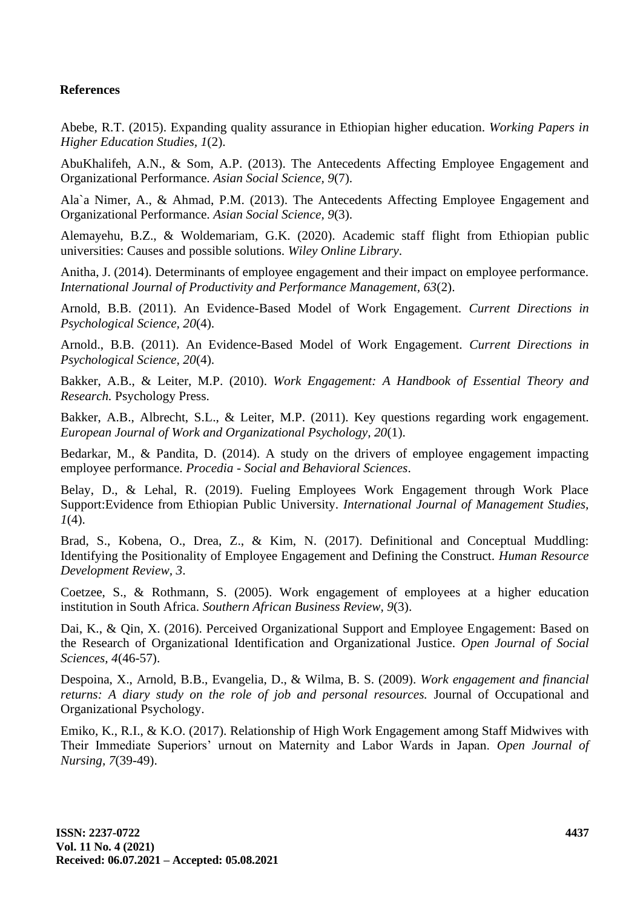# **References**

Abebe, R.T. (2015). Expanding quality assurance in Ethiopian higher education. *Working Papers in Higher Education Studies, 1*(2).

AbuKhalifeh, A.N., & Som, A.P. (2013). The Antecedents Affecting Employee Engagement and Organizational Performance. *Asian Social Science, 9*(7).

Ala`a Nimer, A., & Ahmad, P.M. (2013). The Antecedents Affecting Employee Engagement and Organizational Performance. *Asian Social Science, 9*(3).

Alemayehu, B.Z., & Woldemariam, G.K. (2020). Academic staff flight from Ethiopian public universities: Causes and possible solutions. *Wiley Online Library*.

Anitha, J. (2014). Determinants of employee engagement and their impact on employee performance. *International Journal of Productivity and Performance Management, 63*(2).

Arnold, B.B. (2011). An Evidence-Based Model of Work Engagement. *Current Directions in Psychological Science, 20*(4).

Arnold., B.B. (2011). An Evidence-Based Model of Work Engagement. *Current Directions in Psychological Science, 20*(4).

Bakker, A.B., & Leiter, M.P. (2010). *Work Engagement: A Handbook of Essential Theory and Research.* Psychology Press.

Bakker, A.B., Albrecht, S.L., & Leiter, M.P. (2011). Key questions regarding work engagement. *European Journal of Work and Organizational Psychology, 20*(1).

Bedarkar, M., & Pandita, D. (2014). A study on the drivers of employee engagement impacting employee performance. *Procedia - Social and Behavioral Sciences*.

Belay, D., & Lehal, R. (2019). Fueling Employees Work Engagement through Work Place Support:Evidence from Ethiopian Public University. *International Journal of Management Studies, 1*(4).

Brad, S., Kobena, O., Drea, Z., & Kim, N. (2017). Definitional and Conceptual Muddling: Identifying the Positionality of Employee Engagement and Defining the Construct. *Human Resource Development Review, 3*.

Coetzee, S., & Rothmann, S. (2005). Work engagement of employees at a higher education institution in South Africa. *Southern African Business Review, 9*(3).

Dai, K., & Qin, X. (2016). Perceived Organizational Support and Employee Engagement: Based on the Research of Organizational Identification and Organizational Justice. *Open Journal of Social Sciences, 4*(46-57).

Despoina, X., Arnold, B.B., Evangelia, D., & Wilma, B. S. (2009). *Work engagement and financial returns: A diary study on the role of job and personal resources.* Journal of Occupational and Organizational Psychology.

Emiko, K., R.I., & K.O. (2017). Relationship of High Work Engagement among Staff Midwives with Their Immediate Superiors' urnout on Maternity and Labor Wards in Japan. *Open Journal of Nursing, 7*(39-49).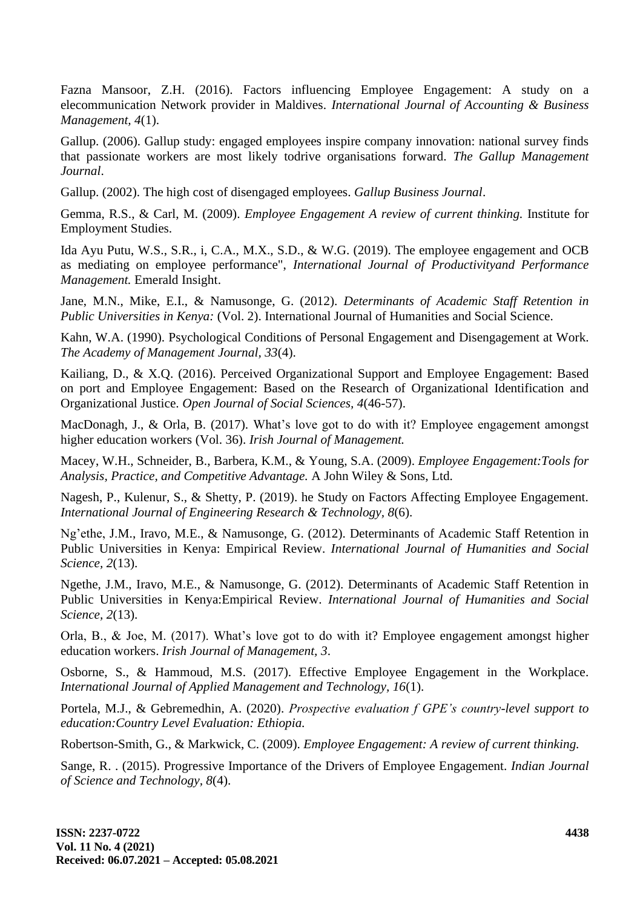Fazna Mansoor, Z.H. (2016). Factors influencing Employee Engagement: A study on a elecommunication Network provider in Maldives. *International Journal of Accounting & Business Management, 4*(1).

Gallup. (2006). Gallup study: engaged employees inspire company innovation: national survey finds that passionate workers are most likely todrive organisations forward. *The Gallup Management Journal*.

Gallup. (2002). The high cost of disengaged employees. *Gallup Business Journal*.

Gemma, R.S., & Carl, M. (2009). *Employee Engagement A review of current thinking.* Institute for Employment Studies.

Ida Ayu Putu, W.S., S.R., i, C.A., M.X., S.D., & W.G. (2019). The employee engagement and OCB as mediating on employee performance", *International Journal of Productivityand Performance Management.* Emerald Insight.

Jane, M.N., Mike, E.I., & Namusonge, G. (2012). *Determinants of Academic Staff Retention in Public Universities in Kenya:* (Vol. 2). International Journal of Humanities and Social Science.

Kahn, W.A. (1990). Psychological Conditions of Personal Engagement and Disengagement at Work. *The Academy of Management Journal, 33*(4).

Kailiang, D., & X.Q. (2016). Perceived Organizational Support and Employee Engagement: Based on port and Employee Engagement: Based on the Research of Organizational Identification and Organizational Justice. *Open Journal of Social Sciences, 4*(46-57).

MacDonagh, J., & Orla, B. (2017). What's love got to do with it? Employee engagement amongst higher education workers (Vol. 36). *Irish Journal of Management.*

Macey, W.H., Schneider, B., Barbera, K.M., & Young, S.A. (2009). *Employee Engagement:Tools for Analysis, Practice, and Competitive Advantage.* A John Wiley & Sons, Ltd.

Nagesh, P., Kulenur, S., & Shetty, P. (2019). he Study on Factors Affecting Employee Engagement. *International Journal of Engineering Research & Technology, 8*(6).

Ng'ethe, J.M., Iravo, M.E., & Namusonge, G. (2012). Determinants of Academic Staff Retention in Public Universities in Kenya: Empirical Review. *International Journal of Humanities and Social Science, 2*(13).

Ngethe, J.M., Iravo, M.E., & Namusonge, G. (2012). Determinants of Academic Staff Retention in Public Universities in Kenya:Empirical Review. *International Journal of Humanities and Social Science, 2*(13).

Orla, B., & Joe, M. (2017). What's love got to do with it? Employee engagement amongst higher education workers. *Irish Journal of Management, 3*.

Osborne, S., & Hammoud, M.S. (2017). Effective Employee Engagement in the Workplace. *International Journal of Applied Management and Technology, 16*(1).

Portela, M.J., & Gebremedhin, A. (2020). *Prospective evaluation f GPE's country-level support to education:Country Level Evaluation: Ethiopia.*

Robertson-Smith, G., & Markwick, C. (2009). *Employee Engagement: A review of current thinking.*

Sange, R. . (2015). Progressive Importance of the Drivers of Employee Engagement. *Indian Journal of Science and Technology, 8*(4).